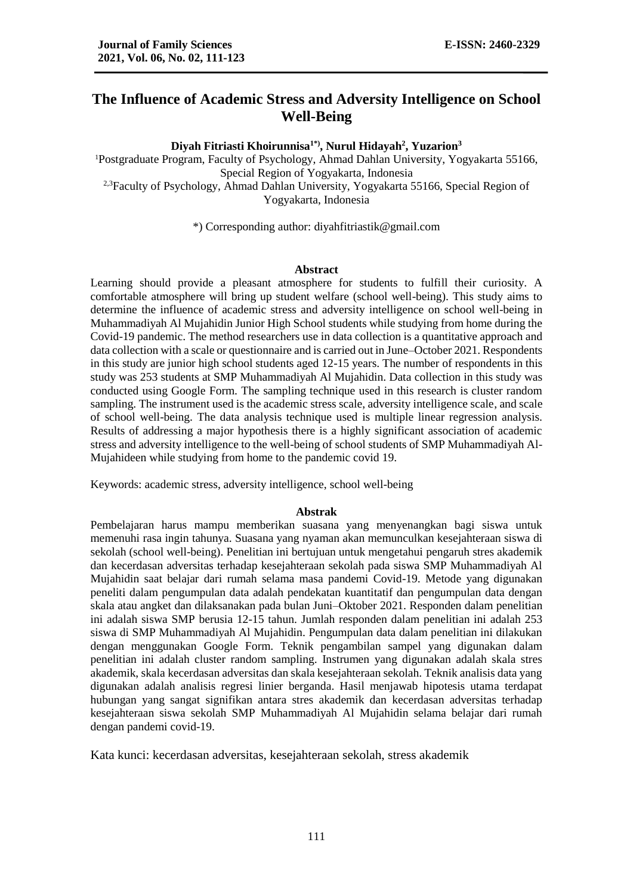# **The Influence of Academic Stress and Adversity Intelligence on School Well-Being**

**Diyah Fitriasti Khoirunnisa1\*), Nurul Hidayah<sup>2</sup> , Yuzarion<sup>3</sup>**

<sup>1</sup>Postgraduate Program, Faculty of Psychology, Ahmad Dahlan University, Yogyakarta 55166, Special Region of Yogyakarta, Indonesia <sup>2,3</sup>Faculty of Psychology, Ahmad Dahlan University, Yogyakarta 55166, Special Region of Yogyakarta, Indonesia

\*) Corresponding author: diyahfitriastik@gmail.com

#### **Abstract**

Learning should provide a pleasant atmosphere for students to fulfill their curiosity. A comfortable atmosphere will bring up student welfare (school well-being). This study aims to determine the influence of academic stress and adversity intelligence on school well-being in Muhammadiyah Al Mujahidin Junior High School students while studying from home during the Covid-19 pandemic. The method researchers use in data collection is a quantitative approach and data collection with a scale or questionnaire and is carried out in June–October 2021. Respondents in this study are junior high school students aged 12-15 years. The number of respondents in this study was 253 students at SMP Muhammadiyah Al Mujahidin. Data collection in this study was conducted using Google Form. The sampling technique used in this research is cluster random sampling. The instrument used is the academic stress scale, adversity intelligence scale, and scale of school well-being. The data analysis technique used is multiple linear regression analysis. Results of addressing a major hypothesis there is a highly significant association of academic stress and adversity intelligence to the well-being of school students of SMP Muhammadiyah Al-Mujahideen while studying from home to the pandemic covid 19.

Keywords: academic stress, adversity intelligence, school well-being

### **Abstrak**

Pembelajaran harus mampu memberikan suasana yang menyenangkan bagi siswa untuk memenuhi rasa ingin tahunya. Suasana yang nyaman akan memunculkan kesejahteraan siswa di sekolah (school well-being). Penelitian ini bertujuan untuk mengetahui pengaruh stres akademik dan kecerdasan adversitas terhadap kesejahteraan sekolah pada siswa SMP Muhammadiyah Al Mujahidin saat belajar dari rumah selama masa pandemi Covid-19. Metode yang digunakan peneliti dalam pengumpulan data adalah pendekatan kuantitatif dan pengumpulan data dengan skala atau angket dan dilaksanakan pada bulan Juni–Oktober 2021. Responden dalam penelitian ini adalah siswa SMP berusia 12-15 tahun. Jumlah responden dalam penelitian ini adalah 253 siswa di SMP Muhammadiyah Al Mujahidin. Pengumpulan data dalam penelitian ini dilakukan dengan menggunakan Google Form. Teknik pengambilan sampel yang digunakan dalam penelitian ini adalah cluster random sampling. Instrumen yang digunakan adalah skala stres akademik, skala kecerdasan adversitas dan skala kesejahteraan sekolah. Teknik analisis data yang digunakan adalah analisis regresi linier berganda. Hasil menjawab hipotesis utama terdapat hubungan yang sangat signifikan antara stres akademik dan kecerdasan adversitas terhadap kesejahteraan siswa sekolah SMP Muhammadiyah Al Mujahidin selama belajar dari rumah dengan pandemi covid-19.

Kata kunci: kecerdasan adversitas, kesejahteraan sekolah, stress akademik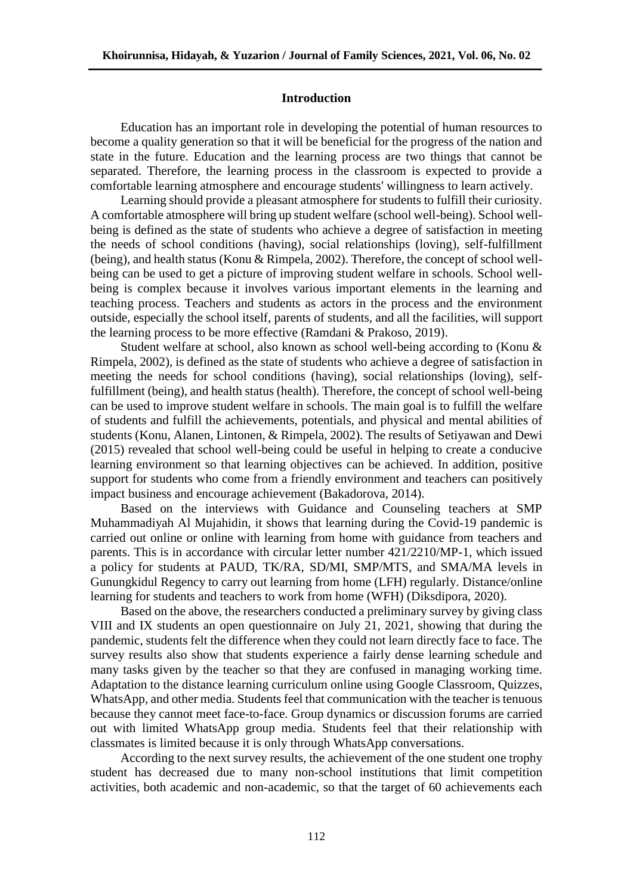## **Introduction**

Education has an important role in developing the potential of human resources to become a quality generation so that it will be beneficial for the progress of the nation and state in the future. Education and the learning process are two things that cannot be separated. Therefore, the learning process in the classroom is expected to provide a comfortable learning atmosphere and encourage students' willingness to learn actively.

Learning should provide a pleasant atmosphere for students to fulfill their curiosity. A comfortable atmosphere will bring up student welfare (school well-being). School wellbeing is defined as the state of students who achieve a degree of satisfaction in meeting the needs of school conditions (having), social relationships (loving), self-fulfillment (being), and health status (Konu & Rimpela, 2002). Therefore, the concept of school wellbeing can be used to get a picture of improving student welfare in schools. School wellbeing is complex because it involves various important elements in the learning and teaching process. Teachers and students as actors in the process and the environment outside, especially the school itself, parents of students, and all the facilities, will support the learning process to be more effective (Ramdani & Prakoso, 2019).

Student welfare at school, also known as school well-being according to (Konu & Rimpela, 2002), is defined as the state of students who achieve a degree of satisfaction in meeting the needs for school conditions (having), social relationships (loving), selffulfillment (being), and health status (health). Therefore, the concept of school well-being can be used to improve student welfare in schools. The main goal is to fulfill the welfare of students and fulfill the achievements, potentials, and physical and mental abilities of students (Konu, Alanen, Lintonen, & Rimpela, 2002). The results of Setiyawan and Dewi (2015) revealed that school well-being could be useful in helping to create a conducive learning environment so that learning objectives can be achieved. In addition, positive support for students who come from a friendly environment and teachers can positively impact business and encourage achievement (Bakadorova, 2014).

Based on the interviews with Guidance and Counseling teachers at SMP Muhammadiyah Al Mujahidin, it shows that learning during the Covid-19 pandemic is carried out online or online with learning from home with guidance from teachers and parents. This is in accordance with circular letter number 421/2210/MP-1, which issued a policy for students at PAUD, TK/RA, SD/MI, SMP/MTS, and SMA/MA levels in Gunungkidul Regency to carry out learning from home (LFH) regularly. Distance/online learning for students and teachers to work from home (WFH) (Diksdipora, 2020).

Based on the above, the researchers conducted a preliminary survey by giving class VIII and IX students an open questionnaire on July 21, 2021, showing that during the pandemic, students felt the difference when they could not learn directly face to face. The survey results also show that students experience a fairly dense learning schedule and many tasks given by the teacher so that they are confused in managing working time. Adaptation to the distance learning curriculum online using Google Classroom, Quizzes, WhatsApp, and other media. Students feel that communication with the teacher is tenuous because they cannot meet face-to-face. Group dynamics or discussion forums are carried out with limited WhatsApp group media. Students feel that their relationship with classmates is limited because it is only through WhatsApp conversations.

According to the next survey results, the achievement of the one student one trophy student has decreased due to many non-school institutions that limit competition activities, both academic and non-academic, so that the target of 60 achievements each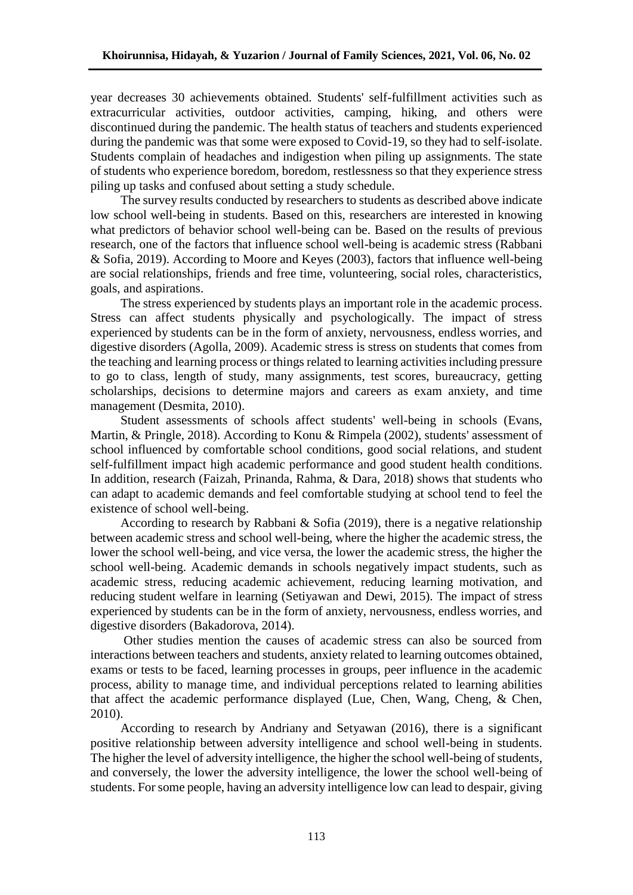year decreases 30 achievements obtained. Students' self-fulfillment activities such as extracurricular activities, outdoor activities, camping, hiking, and others were discontinued during the pandemic. The health status of teachers and students experienced during the pandemic was that some were exposed to Covid-19, so they had to self-isolate. Students complain of headaches and indigestion when piling up assignments. The state of students who experience boredom, boredom, restlessness so that they experience stress piling up tasks and confused about setting a study schedule.

The survey results conducted by researchers to students as described above indicate low school well-being in students. Based on this, researchers are interested in knowing what predictors of behavior school well-being can be. Based on the results of previous research, one of the factors that influence school well-being is academic stress (Rabbani & Sofia, 2019). According to Moore and Keyes (2003), factors that influence well-being are social relationships, friends and free time, volunteering, social roles, characteristics, goals, and aspirations.

The stress experienced by students plays an important role in the academic process. Stress can affect students physically and psychologically. The impact of stress experienced by students can be in the form of anxiety, nervousness, endless worries, and digestive disorders (Agolla, 2009). Academic stress is stress on students that comes from the teaching and learning process or things related to learning activities including pressure to go to class, length of study, many assignments, test scores, bureaucracy, getting scholarships, decisions to determine majors and careers as exam anxiety, and time management (Desmita, 2010).

Student assessments of schools affect students' well-being in schools (Evans, Martin, & Pringle, 2018). According to Konu & Rimpela (2002), students' assessment of school influenced by comfortable school conditions, good social relations, and student self-fulfillment impact high academic performance and good student health conditions. In addition, research (Faizah, Prinanda, Rahma, & Dara, 2018) shows that students who can adapt to academic demands and feel comfortable studying at school tend to feel the existence of school well-being.

According to research by Rabbani & Sofia (2019), there is a negative relationship between academic stress and school well-being, where the higher the academic stress, the lower the school well-being, and vice versa, the lower the academic stress, the higher the school well-being. Academic demands in schools negatively impact students, such as academic stress, reducing academic achievement, reducing learning motivation, and reducing student welfare in learning (Setiyawan and Dewi, 2015). The impact of stress experienced by students can be in the form of anxiety, nervousness, endless worries, and digestive disorders (Bakadorova, 2014).

Other studies mention the causes of academic stress can also be sourced from interactions between teachers and students, anxiety related to learning outcomes obtained, exams or tests to be faced, learning processes in groups, peer influence in the academic process, ability to manage time, and individual perceptions related to learning abilities that affect the academic performance displayed (Lue, Chen, Wang, Cheng, & Chen, 2010).

According to research by Andriany and Setyawan (2016), there is a significant positive relationship between adversity intelligence and school well-being in students. The higher the level of adversity intelligence, the higher the school well-being of students, and conversely, the lower the adversity intelligence, the lower the school well-being of students. For some people, having an adversity intelligence low can lead to despair, giving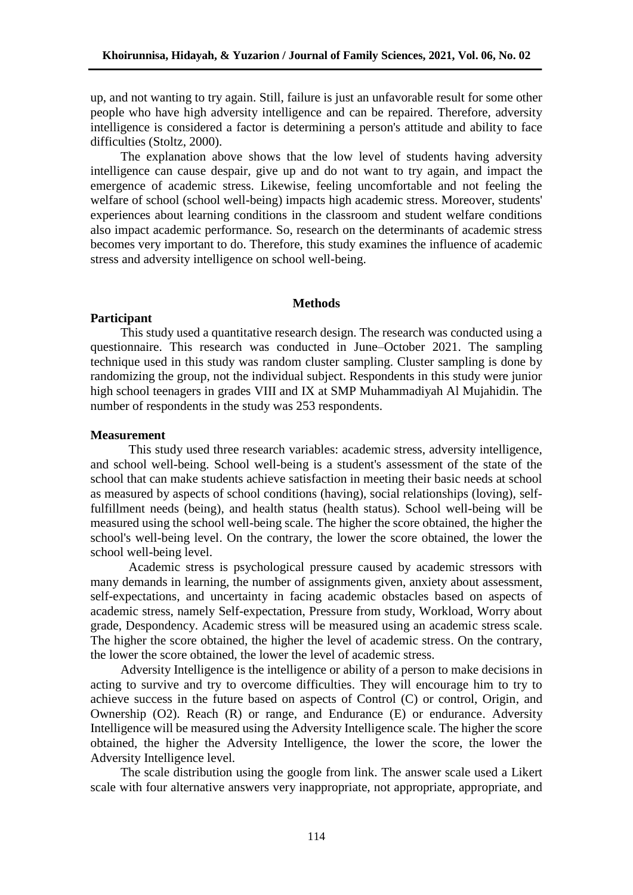up, and not wanting to try again. Still, failure is just an unfavorable result for some other people who have high adversity intelligence and can be repaired. Therefore, adversity intelligence is considered a factor is determining a person's attitude and ability to face difficulties (Stoltz, 2000).

The explanation above shows that the low level of students having adversity intelligence can cause despair, give up and do not want to try again, and impact the emergence of academic stress. Likewise, feeling uncomfortable and not feeling the welfare of school (school well-being) impacts high academic stress. Moreover, students' experiences about learning conditions in the classroom and student welfare conditions also impact academic performance. So, research on the determinants of academic stress becomes very important to do. Therefore, this study examines the influence of academic stress and adversity intelligence on school well-being.

#### **Methods**

### **Participant**

This study used a quantitative research design. The research was conducted using a questionnaire. This research was conducted in June–October 2021. The sampling technique used in this study was random cluster sampling. Cluster sampling is done by randomizing the group, not the individual subject. Respondents in this study were junior high school teenagers in grades VIII and IX at SMP Muhammadiyah Al Mujahidin. The number of respondents in the study was 253 respondents.

### **Measurement**

This study used three research variables: academic stress, adversity intelligence, and school well-being. School well-being is a student's assessment of the state of the school that can make students achieve satisfaction in meeting their basic needs at school as measured by aspects of school conditions (having), social relationships (loving), selffulfillment needs (being), and health status (health status). School well-being will be measured using the school well-being scale. The higher the score obtained, the higher the school's well-being level. On the contrary, the lower the score obtained, the lower the school well-being level.

Academic stress is psychological pressure caused by academic stressors with many demands in learning, the number of assignments given, anxiety about assessment, self-expectations, and uncertainty in facing academic obstacles based on aspects of academic stress, namely Self-expectation, Pressure from study, Workload, Worry about grade, Despondency. Academic stress will be measured using an academic stress scale. The higher the score obtained, the higher the level of academic stress. On the contrary, the lower the score obtained, the lower the level of academic stress.

Adversity Intelligence is the intelligence or ability of a person to make decisions in acting to survive and try to overcome difficulties. They will encourage him to try to achieve success in the future based on aspects of Control (C) or control, Origin, and Ownership (O2). Reach (R) or range, and Endurance (E) or endurance. Adversity Intelligence will be measured using the Adversity Intelligence scale. The higher the score obtained, the higher the Adversity Intelligence, the lower the score, the lower the Adversity Intelligence level.

The scale distribution using the google from link. The answer scale used a Likert scale with four alternative answers very inappropriate, not appropriate, appropriate, and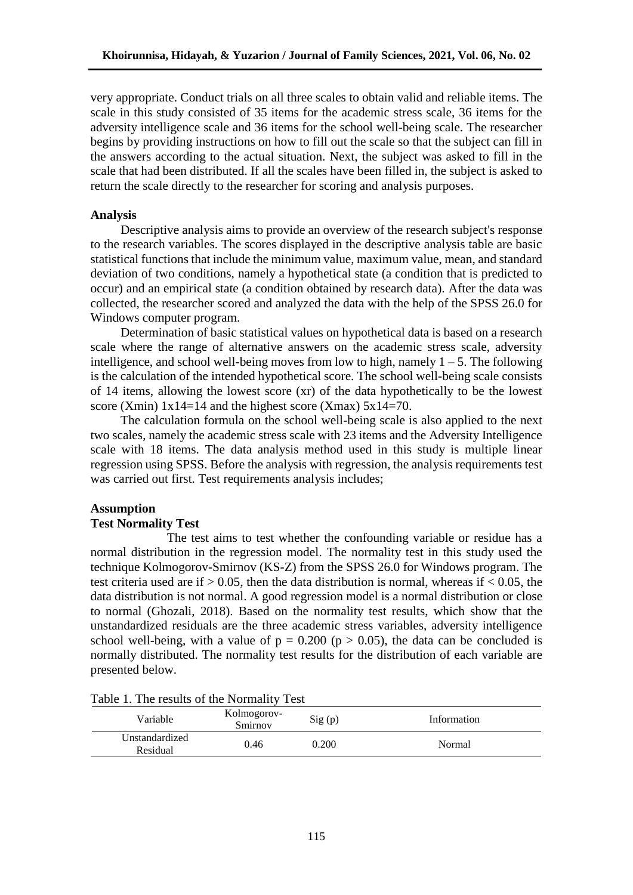very appropriate. Conduct trials on all three scales to obtain valid and reliable items. The scale in this study consisted of 35 items for the academic stress scale, 36 items for the adversity intelligence scale and 36 items for the school well-being scale. The researcher begins by providing instructions on how to fill out the scale so that the subject can fill in the answers according to the actual situation. Next, the subject was asked to fill in the scale that had been distributed. If all the scales have been filled in, the subject is asked to return the scale directly to the researcher for scoring and analysis purposes.

# **Analysis**

Descriptive analysis aims to provide an overview of the research subject's response to the research variables. The scores displayed in the descriptive analysis table are basic statistical functions that include the minimum value, maximum value, mean, and standard deviation of two conditions, namely a hypothetical state (a condition that is predicted to occur) and an empirical state (a condition obtained by research data). After the data was collected, the researcher scored and analyzed the data with the help of the SPSS 26.0 for Windows computer program.

Determination of basic statistical values on hypothetical data is based on a research scale where the range of alternative answers on the academic stress scale, adversity intelligence, and school well-being moves from low to high, namely  $1 - 5$ . The following is the calculation of the intended hypothetical score. The school well-being scale consists of 14 items, allowing the lowest score (xr) of the data hypothetically to be the lowest score (Xmin)  $1x14=14$  and the highest score (Xmax)  $5x14=70$ .

The calculation formula on the school well-being scale is also applied to the next two scales, namely the academic stress scale with 23 items and the Adversity Intelligence scale with 18 items. The data analysis method used in this study is multiple linear regression using SPSS. Before the analysis with regression, the analysis requirements test was carried out first. Test requirements analysis includes;

# **Assumption**

# **Test Normality Test**

The test aims to test whether the confounding variable or residue has a normal distribution in the regression model. The normality test in this study used the technique Kolmogorov-Smirnov (KS-Z) from the SPSS 26.0 for Windows program. The test criteria used are if  $> 0.05$ , then the data distribution is normal, whereas if  $< 0.05$ , the data distribution is not normal. A good regression model is a normal distribution or close to normal (Ghozali, 2018). Based on the normality test results, which show that the unstandardized residuals are the three academic stress variables, adversity intelligence school well-being, with a value of  $p = 0.200$  ( $p > 0.05$ ), the data can be concluded is normally distributed. The normality test results for the distribution of each variable are presented below.

| Table 1. The results of the indifficulty Test |                        |        |             |
|-----------------------------------------------|------------------------|--------|-------------|
| Variable                                      | Kolmogorov-<br>Smirnov | Sig(p) | Information |
| Unstandardized<br>Residual                    | 0.46                   | 0.200  | Normal      |

Table 1. The results of the Normality Test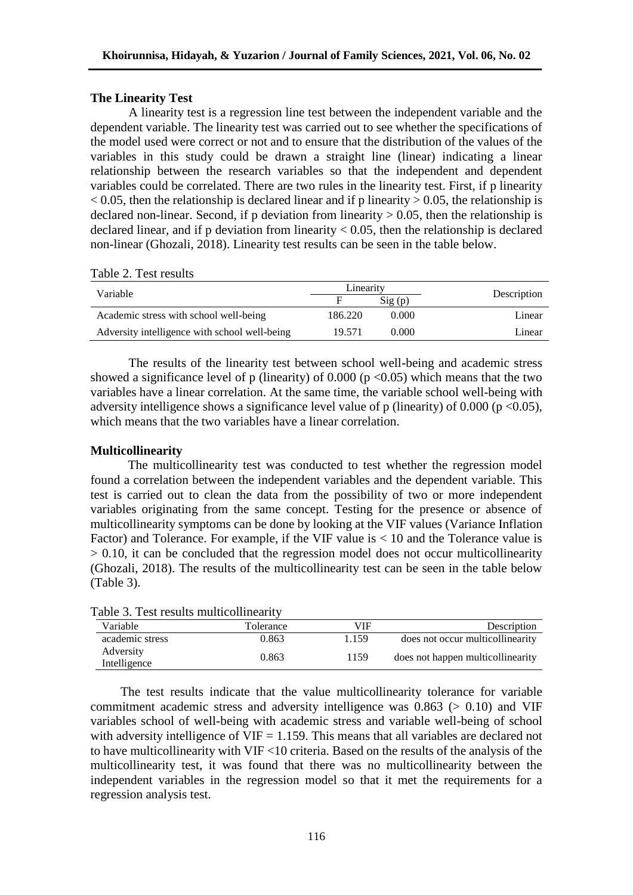### **The Linearity Test**

A linearity test is a regression line test between the independent variable and the dependent variable. The linearity test was carried out to see whether the specifications of the model used were correct or not and to ensure that the distribution of the values of the variables in this study could be drawn a straight line (linear) indicating a linear relationship between the research variables so that the independent and dependent variables could be correlated. There are two rules in the linearity test. First, if p linearity  $< 0.05$ , then the relationship is declared linear and if p linearity  $> 0.05$ , the relationship is declared non-linear. Second, if p deviation from linearity  $> 0.05$ , then the relationship is declared linear, and if p deviation from linearity  $< 0.05$ , then the relationship is declared non-linear (Ghozali, 2018). Linearity test results can be seen in the table below.

|                                               | Linearity |                 |             |
|-----------------------------------------------|-----------|-----------------|-------------|
| Variable                                      |           | $\text{Sig}(p)$ | Description |
| Academic stress with school well-being        | 186.220   | 0.000           | Linear      |
| Adversity intelligence with school well-being | 19.571    | 0.000           | Linear      |

Table 2. Test results

The results of the linearity test between school well-being and academic stress showed a significance level of p (linearity) of  $0.000$  (p <0.05) which means that the two variables have a linear correlation. At the same time, the variable school well-being with adversity intelligence shows a significance level value of p (linearity) of 0.000 (p <0.05), which means that the two variables have a linear correlation.

### **Multicollinearity**

The multicollinearity test was conducted to test whether the regression model found a correlation between the independent variables and the dependent variable. This test is carried out to clean the data from the possibility of two or more independent variables originating from the same concept. Testing for the presence or absence of multicollinearity symptoms can be done by looking at the VIF values (Variance Inflation Factor) and Tolerance. For example, if the VIF value is < 10 and the Tolerance value is  $> 0.10$ , it can be concluded that the regression model does not occur multicollinearity (Ghozali, 2018). The results of the multicollinearity test can be seen in the table below (Table 3).

| radie 5. Test results municommeantly |           |            |                                   |
|--------------------------------------|-----------|------------|-----------------------------------|
| Variable                             | Tolerance | <b>VIF</b> | Description                       |
| academic stress                      | 0.863     | 1.159      | does not occur multicollinearity  |
| Adversity<br>Intelligence            | 0.863     | 1159       | does not happen multicollinearity |

# Table 3. Test results multicollinearity

The test results indicate that the value multicollinearity tolerance for variable commitment academic stress and adversity intelligence was  $0.863$  ( $> 0.10$ ) and VIF variables school of well-being with academic stress and variable well-being of school with adversity intelligence of  $VIF = 1.159$ . This means that all variables are declared not to have multicollinearity with VIF <10 criteria. Based on the results of the analysis of the multicollinearity test, it was found that there was no multicollinearity between the independent variables in the regression model so that it met the requirements for a regression analysis test.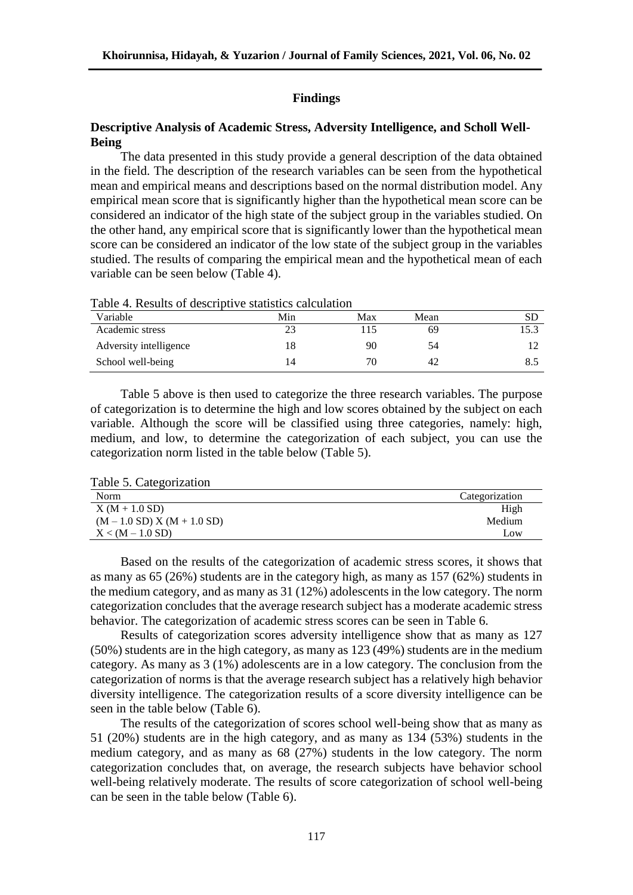## **Findings**

# **Descriptive Analysis of Academic Stress, Adversity Intelligence, and Scholl Well-Being**

The data presented in this study provide a general description of the data obtained in the field. The description of the research variables can be seen from the hypothetical mean and empirical means and descriptions based on the normal distribution model. Any empirical mean score that is significantly higher than the hypothetical mean score can be considered an indicator of the high state of the subject group in the variables studied. On the other hand, any empirical score that is significantly lower than the hypothetical mean score can be considered an indicator of the low state of the subject group in the variables studied. The results of comparing the empirical mean and the hypothetical mean of each variable can be seen below (Table 4).

| Variable               | Min | Max | Mean |  |
|------------------------|-----|-----|------|--|
| Academic stress        |     | 15  | 69   |  |
| Adversity intelligence |     | 90  | 54   |  |
| School well-being      |     | 70  | 42   |  |

Table 4. Results of descriptive statistics calculation

Table 5 above is then used to categorize the three research variables. The purpose of categorization is to determine the high and low scores obtained by the subject on each variable. Although the score will be classified using three categories, namely: high, medium, and low, to determine the categorization of each subject, you can use the categorization norm listed in the table below (Table 5).

Table 5. Categorization

| Norm                          | Categorization |
|-------------------------------|----------------|
| $X(M + 1.0 SD)$               | High           |
| $(M - 1.0 SD) X (M + 1.0 SD)$ | Medium         |
| $X < (M - 1.0 S D)$           | Low            |

Based on the results of the categorization of academic stress scores, it shows that as many as 65 (26%) students are in the category high, as many as 157 (62%) students in the medium category, and as many as 31 (12%) adolescents in the low category. The norm categorization concludes that the average research subject has a moderate academic stress behavior. The categorization of academic stress scores can be seen in Table 6.

Results of categorization scores adversity intelligence show that as many as 127 (50%) students are in the high category, as many as 123 (49%) students are in the medium category. As many as 3 (1%) adolescents are in a low category. The conclusion from the categorization of norms is that the average research subject has a relatively high behavior diversity intelligence. The categorization results of a score diversity intelligence can be seen in the table below (Table 6).

The results of the categorization of scores school well-being show that as many as 51 (20%) students are in the high category, and as many as 134 (53%) students in the medium category, and as many as 68 (27%) students in the low category. The norm categorization concludes that, on average, the research subjects have behavior school well-being relatively moderate. The results of score categorization of school well-being can be seen in the table below (Table 6).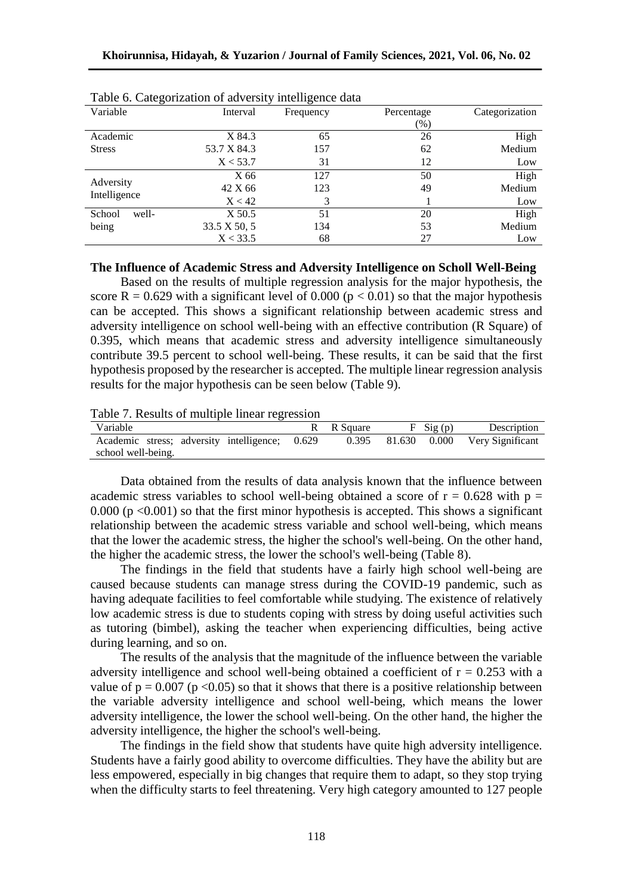| Variable        | Interval     | Frequency | Percentage | Categorization |
|-----------------|--------------|-----------|------------|----------------|
|                 |              |           | $(\%)$     |                |
| Academic        | X 84.3       | 65        | 26         | High           |
| <b>Stress</b>   | 53.7 X 84.3  | 157       | 62         | Medium         |
|                 | X < 53.7     | 31        | 12         | Low            |
|                 | X 66         | 127       | 50         | High           |
| Adversity       | 42 X 66      | 123       | 49         | Medium         |
| Intelligence    | X < 42       |           |            | Low            |
| School<br>well- | X 50.5       | 51        | 20         | High           |
| being           | 33.5 X 50, 5 | 134       | 53         | Medium         |
|                 | X < 33.5     | 68        | 27         | Low            |

Table 6. Categorization of adversity intelligence data

#### **The Influence of Academic Stress and Adversity Intelligence on Scholl Well-Being**

Based on the results of multiple regression analysis for the major hypothesis, the score R = 0.629 with a significant level of 0.000 ( $p < 0.01$ ) so that the major hypothesis can be accepted. This shows a significant relationship between academic stress and adversity intelligence on school well-being with an effective contribution (R Square) of 0.395, which means that academic stress and adversity intelligence simultaneously contribute 39.5 percent to school well-being. These results, it can be said that the first hypothesis proposed by the researcher is accepted. The multiple linear regression analysis results for the major hypothesis can be seen below (Table 9).

Table 7. Results of multiple linear regression

| Variable                                       | R R Square | $F$ Sig (p) | Description                   |
|------------------------------------------------|------------|-------------|-------------------------------|
| Academic stress; adversity intelligence; 0.629 | 0.395      |             | 81.630 0.000 Very Significant |
| school well-being.                             |            |             |                               |

Data obtained from the results of data analysis known that the influence between academic stress variables to school well-being obtained a score of  $r = 0.628$  with  $p =$ 0.000 ( $p \le 0.001$ ) so that the first minor hypothesis is accepted. This shows a significant relationship between the academic stress variable and school well-being, which means that the lower the academic stress, the higher the school's well-being. On the other hand, the higher the academic stress, the lower the school's well-being (Table 8).

The findings in the field that students have a fairly high school well-being are caused because students can manage stress during the COVID-19 pandemic, such as having adequate facilities to feel comfortable while studying. The existence of relatively low academic stress is due to students coping with stress by doing useful activities such as tutoring (bimbel), asking the teacher when experiencing difficulties, being active during learning, and so on.

The results of the analysis that the magnitude of the influence between the variable adversity intelligence and school well-being obtained a coefficient of  $r = 0.253$  with a value of  $p = 0.007$  ( $p < 0.05$ ) so that it shows that there is a positive relationship between the variable adversity intelligence and school well-being, which means the lower adversity intelligence, the lower the school well-being. On the other hand, the higher the adversity intelligence, the higher the school's well-being.

The findings in the field show that students have quite high adversity intelligence. Students have a fairly good ability to overcome difficulties. They have the ability but are less empowered, especially in big changes that require them to adapt, so they stop trying when the difficulty starts to feel threatening. Very high category amounted to 127 people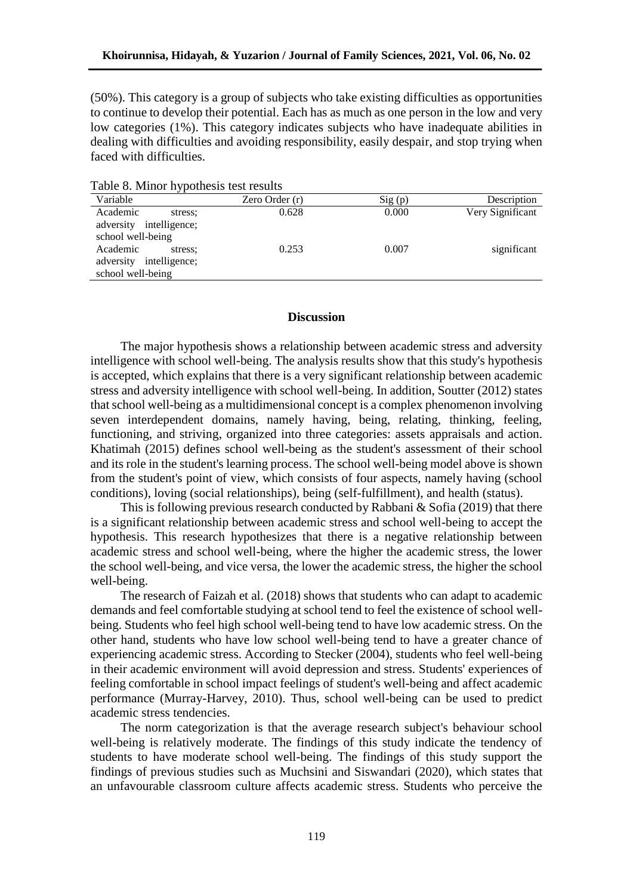(50%). This category is a group of subjects who take existing difficulties as opportunities to continue to develop their potential. Each has as much as one person in the low and very low categories (1%). This category indicates subjects who have inadequate abilities in dealing with difficulties and avoiding responsibility, easily despair, and stop trying when faced with difficulties.

| radio of <i>williof</i> hypothesis test results |                |        |                  |
|-------------------------------------------------|----------------|--------|------------------|
| Variable                                        | Zero Order (r) | Sig(p) | Description      |
| Academic<br>stress:                             | 0.628          | 0.000  | Very Significant |
| adversity intelligence;                         |                |        |                  |
| school well-being                               |                |        |                  |
| Academic<br>stress:                             | 0.253          | 0.007  | significant      |
| adversity intelligence;                         |                |        |                  |
| school well-being                               |                |        |                  |

Table 8. Minor hypothesis test results

#### **Discussion**

The major hypothesis shows a relationship between academic stress and adversity intelligence with school well-being. The analysis results show that this study's hypothesis is accepted, which explains that there is a very significant relationship between academic stress and adversity intelligence with school well-being. In addition, Soutter (2012) states that school well-being as a multidimensional concept is a complex phenomenon involving seven interdependent domains, namely having, being, relating, thinking, feeling, functioning, and striving, organized into three categories: assets appraisals and action. Khatimah (2015) defines school well-being as the student's assessment of their school and its role in the student's learning process. The school well-being model above is shown from the student's point of view, which consists of four aspects, namely having (school conditions), loving (social relationships), being (self-fulfillment), and health (status).

This is following previous research conducted by Rabbani & Sofia (2019) that there is a significant relationship between academic stress and school well-being to accept the hypothesis. This research hypothesizes that there is a negative relationship between academic stress and school well-being, where the higher the academic stress, the lower the school well-being, and vice versa, the lower the academic stress, the higher the school well-being.

The research of Faizah et al. (2018) shows that students who can adapt to academic demands and feel comfortable studying at school tend to feel the existence of school wellbeing. Students who feel high school well-being tend to have low academic stress. On the other hand, students who have low school well-being tend to have a greater chance of experiencing academic stress. According to Stecker (2004), students who feel well-being in their academic environment will avoid depression and stress. Students' experiences of feeling comfortable in school impact feelings of student's well-being and affect academic performance (Murray-Harvey, 2010). Thus, school well-being can be used to predict academic stress tendencies.

The norm categorization is that the average research subject's behaviour school well-being is relatively moderate. The findings of this study indicate the tendency of students to have moderate school well-being. The findings of this study support the findings of previous studies such as Muchsini and Siswandari (2020), which states that an unfavourable classroom culture affects academic stress. Students who perceive the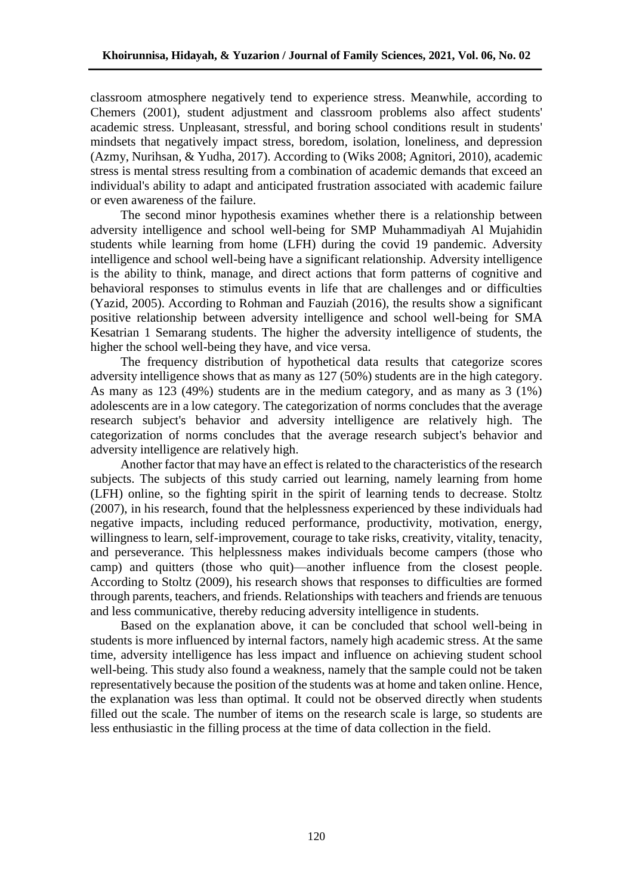classroom atmosphere negatively tend to experience stress. Meanwhile, according to Chemers (2001), student adjustment and classroom problems also affect students' academic stress. Unpleasant, stressful, and boring school conditions result in students' mindsets that negatively impact stress, boredom, isolation, loneliness, and depression (Azmy, Nurihsan, & Yudha, 2017). According to (Wiks 2008; Agnitori, 2010), academic stress is mental stress resulting from a combination of academic demands that exceed an individual's ability to adapt and anticipated frustration associated with academic failure or even awareness of the failure.

The second minor hypothesis examines whether there is a relationship between adversity intelligence and school well-being for SMP Muhammadiyah Al Mujahidin students while learning from home (LFH) during the covid 19 pandemic. Adversity intelligence and school well-being have a significant relationship. Adversity intelligence is the ability to think, manage, and direct actions that form patterns of cognitive and behavioral responses to stimulus events in life that are challenges and or difficulties (Yazid, 2005). According to Rohman and Fauziah (2016), the results show a significant positive relationship between adversity intelligence and school well-being for SMA Kesatrian 1 Semarang students. The higher the adversity intelligence of students, the higher the school well-being they have, and vice versa.

The frequency distribution of hypothetical data results that categorize scores adversity intelligence shows that as many as 127 (50%) students are in the high category. As many as 123 (49%) students are in the medium category, and as many as 3 (1%) adolescents are in a low category. The categorization of norms concludes that the average research subject's behavior and adversity intelligence are relatively high. The categorization of norms concludes that the average research subject's behavior and adversity intelligence are relatively high.

Another factor that may have an effect is related to the characteristics of the research subjects. The subjects of this study carried out learning, namely learning from home (LFH) online, so the fighting spirit in the spirit of learning tends to decrease. Stoltz (2007), in his research, found that the helplessness experienced by these individuals had negative impacts, including reduced performance, productivity, motivation, energy, willingness to learn, self-improvement, courage to take risks, creativity, vitality, tenacity, and perseverance. This helplessness makes individuals become campers (those who camp) and quitters (those who quit)—another influence from the closest people. According to Stoltz (2009), his research shows that responses to difficulties are formed through parents, teachers, and friends. Relationships with teachers and friends are tenuous and less communicative, thereby reducing adversity intelligence in students.

Based on the explanation above, it can be concluded that school well-being in students is more influenced by internal factors, namely high academic stress. At the same time, adversity intelligence has less impact and influence on achieving student school well-being. This study also found a weakness, namely that the sample could not be taken representatively because the position of the students was at home and taken online. Hence, the explanation was less than optimal. It could not be observed directly when students filled out the scale. The number of items on the research scale is large, so students are less enthusiastic in the filling process at the time of data collection in the field.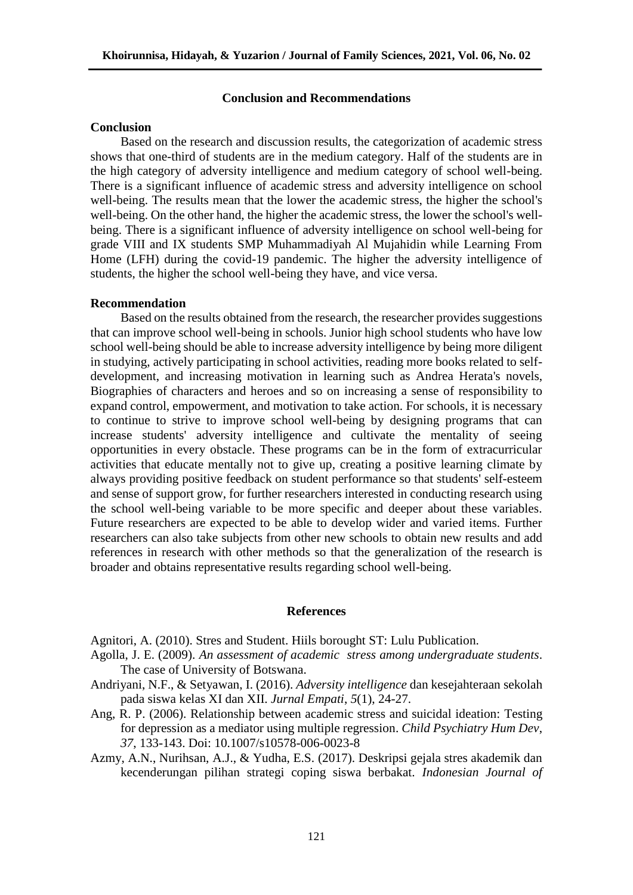### **Conclusion and Recommendations**

### **Conclusion**

Based on the research and discussion results, the categorization of academic stress shows that one-third of students are in the medium category. Half of the students are in the high category of adversity intelligence and medium category of school well-being. There is a significant influence of academic stress and adversity intelligence on school well-being. The results mean that the lower the academic stress, the higher the school's well-being. On the other hand, the higher the academic stress, the lower the school's wellbeing. There is a significant influence of adversity intelligence on school well-being for grade VIII and IX students SMP Muhammadiyah Al Mujahidin while Learning From Home (LFH) during the covid-19 pandemic. The higher the adversity intelligence of students, the higher the school well-being they have, and vice versa.

#### **Recommendation**

Based on the results obtained from the research, the researcher provides suggestions that can improve school well-being in schools. Junior high school students who have low school well-being should be able to increase adversity intelligence by being more diligent in studying, actively participating in school activities, reading more books related to selfdevelopment, and increasing motivation in learning such as Andrea Herata's novels, Biographies of characters and heroes and so on increasing a sense of responsibility to expand control, empowerment, and motivation to take action. For schools, it is necessary to continue to strive to improve school well-being by designing programs that can increase students' adversity intelligence and cultivate the mentality of seeing opportunities in every obstacle. These programs can be in the form of extracurricular activities that educate mentally not to give up, creating a positive learning climate by always providing positive feedback on student performance so that students' self-esteem and sense of support grow, for further researchers interested in conducting research using the school well-being variable to be more specific and deeper about these variables. Future researchers are expected to be able to develop wider and varied items. Further researchers can also take subjects from other new schools to obtain new results and add references in research with other methods so that the generalization of the research is broader and obtains representative results regarding school well-being.

#### **References**

Agnitori, A. (2010). Stres and Student. Hiils borought ST: Lulu Publication.

- Agolla, J. E. (2009). *An assessment of academic stress among undergraduate students*. The case of University of Botswana.
- Andriyani, N.F., & Setyawan, I. (2016). *Adversity intelligence* dan kesejahteraan sekolah pada siswa kelas XI dan XII. *Jurnal Empati*, *5*(1), 24-27.
- Ang, R. P. (2006). Relationship between academic stress and suicidal ideation: Testing for depression as a mediator using multiple regression. *Child Psychiatry Hum Dev*, *37*, 133-143. Doi: 10.1007/s10578-006-0023-8
- Azmy, A.N., Nurihsan, A.J., & Yudha, E.S. (2017). Deskripsi gejala stres akademik dan kecenderungan pilihan strategi coping siswa berbakat. *Indonesian Journal of*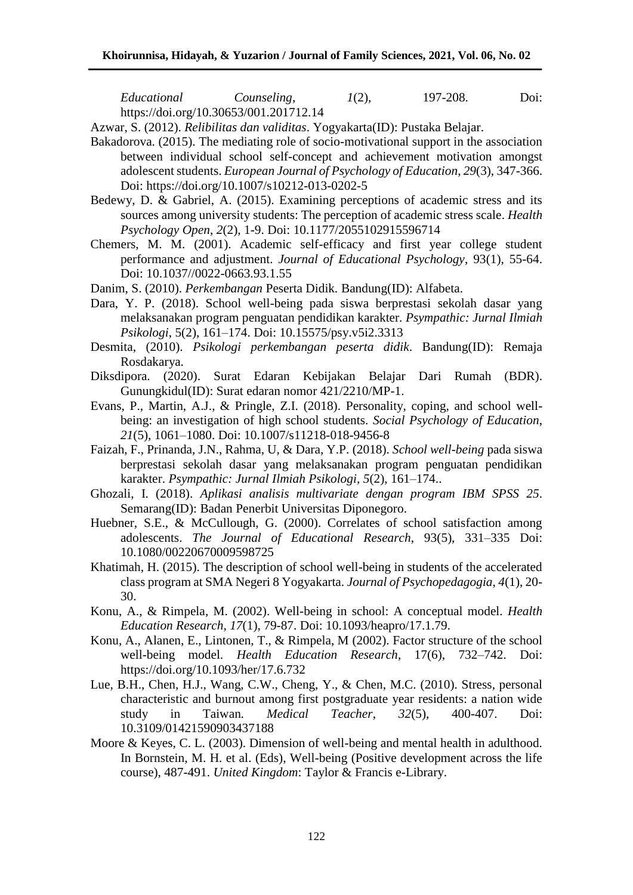*Educational Counseling*, *1*(2), 197-208. Doi: https://doi.org/10.30653/001.201712.14

Azwar, S. (2012). *Relibilitas dan validitas*. Yogyakarta(ID): Pustaka Belajar.

- Bakadorova. (2015). The mediating role of socio-motivational support in the association between individual school self-concept and achievement motivation amongst adolescent students. *European Journal of Psychology of Education*, *29*(3), 347-366. Doi: https://doi.org/10.1007/s10212-013-0202-5
- Bedewy, D. & Gabriel, A. (2015). Examining perceptions of academic stress and its sources among university students: The perception of academic stress scale. *Health Psychology Open*, *2*(2), 1-9. Doi: [10.1177/2055102915596714](https://doi.org/10.1177/2055102915596714)
- Chemers, M. M. (2001). Academic self-efficacy and first year college student performance and adjustment. *Journal of Educational Psychology*, 93(1), 55-64. Doi: 10.1037//0022-0663.93.1.55
- Danim, S. (2010). *Perkembangan* Peserta Didik*.* Bandung(ID): Alfabeta.
- Dara, Y. P. (2018). School well-being pada siswa berprestasi sekolah dasar yang melaksanakan program penguatan pendidikan karakter. *Psympathic: Jurnal Ilmiah Psikologi*, 5(2), 161–174. Doi: [10.15575/psy.v5i2.3313](https://doi.org/10.15575/psy.v5i2.3313)
- Desmita, (2010). *Psikologi perkembangan peserta didik*. Bandung(ID): Remaja Rosdakarya.
- Diksdipora. (2020). Surat Edaran Kebijakan Belajar Dari Rumah (BDR). Gunungkidul(ID): Surat edaran nomor 421/2210/MP-1.
- Evans, P., Martin, A.J., & Pringle, Z.I. (2018). Personality, coping, and school wellbeing: an investigation of high school students. *Social Psychology of Education*, *21*(5), 1061–1080. Doi: 10.1007/s11218-018-9456-8
- Faizah, F., Prinanda, J.N., Rahma, U, & Dara, Y.P. (2018). *School well-being* pada siswa berprestasi sekolah dasar yang melaksanakan program penguatan pendidikan karakter. *Psympathic: Jurnal Ilmiah Psikologi, 5*(2), 161–174..
- Ghozali, I. (2018). *Aplikasi analisis multivariate dengan program IBM SPSS 25*. Semarang(ID): Badan Penerbit Universitas Diponegoro.
- Huebner, S.E., & McCullough, G. (2000). Correlates of school satisfaction among adolescents. *The Journal of Educational Research*, 93(5), 331–335 Doi: [10.1080/00220670009598725](https://doi.org/10.1080/00220670009598725)
- Khatimah, H. (2015). The description of school well-being in students of the accelerated class program at SMA Negeri 8 Yogyakarta. *Journal of Psychopedagogia*, *4*(1), 20- 30.
- Konu, A., & Rimpela, M. (2002). Well-being in school: A conceptual model. *Health Education Research*, *17*(1), 79-87. Doi: 10.1093/heapro/17.1.79.
- Konu, A., Alanen, E., Lintonen, T., & Rimpela, M (2002). Factor structure of the school well-being model. *Health Education Research*, 17(6), 732–742. Doi: <https://doi.org/10.1093/her/17.6.732>
- Lue, B.H., Chen, H.J., Wang, C.W., Cheng, Y., & Chen, M.C. (2010). Stress, personal characteristic and burnout among first postgraduate year residents: a nation wide study in Taiwan*. Medical Teacher*, *32*(5), 400-407. Doi: 10.3109/01421590903437188
- Moore & Keyes, C. L. (2003). Dimension of well-being and mental health in adulthood. In Bornstein, M. H. et al. (Eds), Well-being (Positive development across the life course), 487-491. *United Kingdom*: Taylor & Francis e-Library.